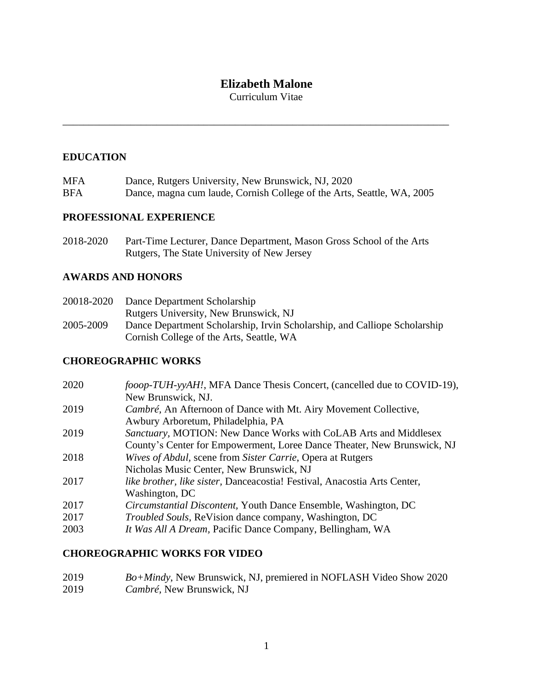# **Elizabeth Malone**

Curriculum Vitae

\_\_\_\_\_\_\_\_\_\_\_\_\_\_\_\_\_\_\_\_\_\_\_\_\_\_\_\_\_\_\_\_\_\_\_\_\_\_\_\_\_\_\_\_\_\_\_\_\_\_\_\_\_\_\_\_\_\_\_\_\_\_\_\_\_\_\_\_\_\_\_\_\_\_

## **EDUCATION**

| <b>MFA</b> | Dance, Rutgers University, New Brunswick, NJ, 2020                     |
|------------|------------------------------------------------------------------------|
| <b>BFA</b> | Dance, magna cum laude, Cornish College of the Arts, Seattle, WA, 2005 |

## **PROFESSIONAL EXPERIENCE**

2018-2020 Part-Time Lecturer, Dance Department, Mason Gross School of the Arts Rutgers, The State University of New Jersey

## **AWARDS AND HONORS**

| 20018-2020 | Dance Department Scholarship                                              |
|------------|---------------------------------------------------------------------------|
|            | Rutgers University, New Brunswick, NJ                                     |
| 2005-2009  | Dance Department Scholarship, Irvin Scholarship, and Calliope Scholarship |
|            | Cornish College of the Arts, Seattle, WA                                  |

# **CHOREOGRAPHIC WORKS**

| 2020 | fooop-TUH-yyAH!, MFA Dance Thesis Concert, (cancelled due to COVID-19),   |
|------|---------------------------------------------------------------------------|
|      | New Brunswick, NJ.                                                        |
| 2019 | Cambré, An Afternoon of Dance with Mt. Airy Movement Collective,          |
|      | Awbury Arboretum, Philadelphia, PA                                        |
| 2019 | Sanctuary, MOTION: New Dance Works with CoLAB Arts and Middlesex          |
|      | County's Center for Empowerment, Loree Dance Theater, New Brunswick, NJ   |
| 2018 | Wives of Abdul, scene from Sister Carrie, Opera at Rutgers                |
|      | Nicholas Music Center, New Brunswick, NJ                                  |
| 2017 | like brother, like sister, Danceacostia! Festival, Anacostia Arts Center, |
|      | Washington, DC                                                            |
| 2017 | <i>Circumstantial Discontent, Youth Dance Ensemble, Washington, DC</i>    |
| 2017 | <i>Troubled Souls, ReVision dance company, Washington, DC</i>             |
| 2003 | It Was All A Dream, Pacific Dance Company, Bellingham, WA                 |
|      |                                                                           |

# **CHOREOGRAPHIC WORKS FOR VIDEO**

2019 *Bo+Mindy*, New Brunswick, NJ, premiered in NOFLASH Video Show 2020 2019 *Cambré,* New Brunswick, NJ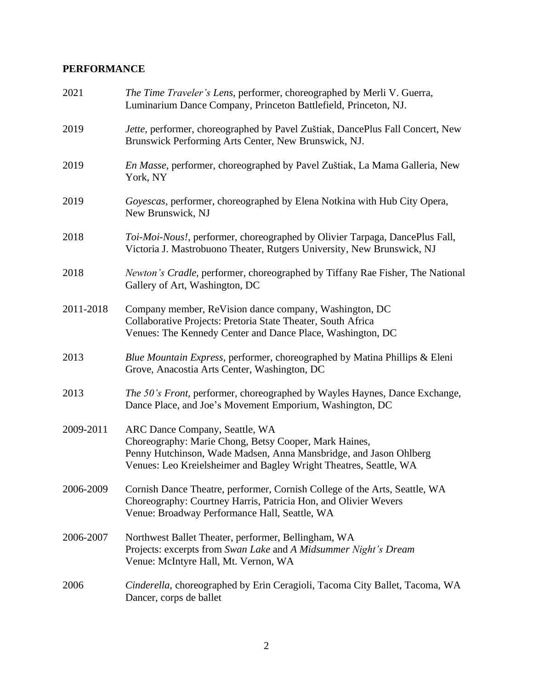# **PERFORMANCE**

| 2021      | The Time Traveler's Lens, performer, choreographed by Merli V. Guerra,<br>Luminarium Dance Company, Princeton Battlefield, Princeton, NJ.                                                                                         |
|-----------|-----------------------------------------------------------------------------------------------------------------------------------------------------------------------------------------------------------------------------------|
| 2019      | Jette, performer, choreographed by Pavel Zuštiak, DancePlus Fall Concert, New<br>Brunswick Performing Arts Center, New Brunswick, NJ.                                                                                             |
| 2019      | En Masse, performer, choreographed by Pavel Zuštiak, La Mama Galleria, New<br>York, NY                                                                                                                                            |
| 2019      | Goyescas, performer, choreographed by Elena Notkina with Hub City Opera,<br>New Brunswick, NJ                                                                                                                                     |
| 2018      | Toi-Moi-Nous!, performer, choreographed by Olivier Tarpaga, DancePlus Fall,<br>Victoria J. Mastrobuono Theater, Rutgers University, New Brunswick, NJ                                                                             |
| 2018      | Newton's Cradle, performer, choreographed by Tiffany Rae Fisher, The National<br>Gallery of Art, Washington, DC                                                                                                                   |
| 2011-2018 | Company member, ReVision dance company, Washington, DC<br>Collaborative Projects: Pretoria State Theater, South Africa<br>Venues: The Kennedy Center and Dance Place, Washington, DC                                              |
| 2013      | Blue Mountain Express, performer, choreographed by Matina Phillips & Eleni<br>Grove, Anacostia Arts Center, Washington, DC                                                                                                        |
| 2013      | The 50's Front, performer, choreographed by Wayles Haynes, Dance Exchange,<br>Dance Place, and Joe's Movement Emporium, Washington, DC                                                                                            |
| 2009-2011 | ARC Dance Company, Seattle, WA<br>Choreography: Marie Chong, Betsy Cooper, Mark Haines,<br>Penny Hutchinson, Wade Madsen, Anna Mansbridge, and Jason Ohlberg<br>Venues: Leo Kreielsheimer and Bagley Wright Theatres, Seattle, WA |
| 2006-2009 | Cornish Dance Theatre, performer, Cornish College of the Arts, Seattle, WA<br>Choreography: Courtney Harris, Patricia Hon, and Olivier Wevers<br>Venue: Broadway Performance Hall, Seattle, WA                                    |
| 2006-2007 | Northwest Ballet Theater, performer, Bellingham, WA<br>Projects: excerpts from Swan Lake and A Midsummer Night's Dream<br>Venue: McIntyre Hall, Mt. Vernon, WA                                                                    |
| 2006      | Cinderella, choreographed by Erin Ceragioli, Tacoma City Ballet, Tacoma, WA<br>Dancer, corps de ballet                                                                                                                            |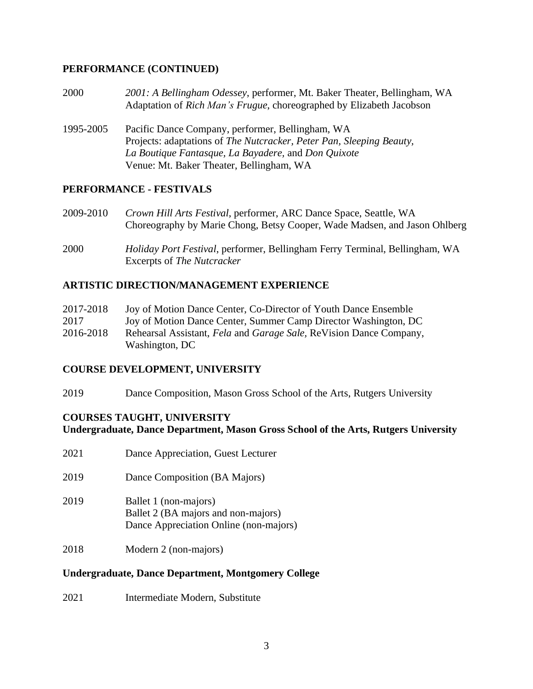## **PERFORMANCE (CONTINUED)**

- 2000 *2001: A Bellingham Odessey*, performer, Mt. Baker Theater, Bellingham, WA Adaptation of *Rich Man's Frugue*, choreographed by Elizabeth Jacobson
- 1995-2005 Pacific Dance Company, performer, Bellingham, WA Projects: adaptations of *The Nutcracker, Peter Pan, Sleeping Beauty, La Boutique Fantasque, La Bayadere,* and *Don Quixote* Venue: Mt. Baker Theater, Bellingham, WA

## **PERFORMANCE - FESTIVALS**

- 2009-2010 *Crown Hill Arts Festival*, performer, ARC Dance Space, Seattle, WA Choreography by Marie Chong, Betsy Cooper, Wade Madsen, and Jason Ohlberg
- 2000 *Holiday Port Festival*, performer, Bellingham Ferry Terminal, Bellingham, WA Excerpts of *The Nutcracker*

## **ARTISTIC DIRECTION/MANAGEMENT EXPERIENCE**

| 2017-2018 | Joy of Motion Dance Center, Co-Director of Youth Dance Ensemble    |
|-----------|--------------------------------------------------------------------|
| 2017      | Joy of Motion Dance Center, Summer Camp Director Washington, DC    |
| 2016-2018 | Rehearsal Assistant, Fela and Garage Sale, ReVision Dance Company, |
|           | Washington, DC                                                     |

#### **COURSE DEVELOPMENT, UNIVERSITY**

2019 Dance Composition, Mason Gross School of the Arts, Rutgers University

#### **COURSES TAUGHT, UNIVERSITY Undergraduate, Dance Department, Mason Gross School of the Arts, Rutgers University**

| 2021 | Dance Appreciation, Guest Lecturer                                                                     |
|------|--------------------------------------------------------------------------------------------------------|
| 2019 | Dance Composition (BA Majors)                                                                          |
| 2019 | Ballet 1 (non-majors)<br>Ballet 2 (BA majors and non-majors)<br>Dance Appreciation Online (non-majors) |
| 2018 | Modern 2 (non-majors)                                                                                  |

#### **Undergraduate, Dance Department, Montgomery College**

2021 Intermediate Modern, Substitute